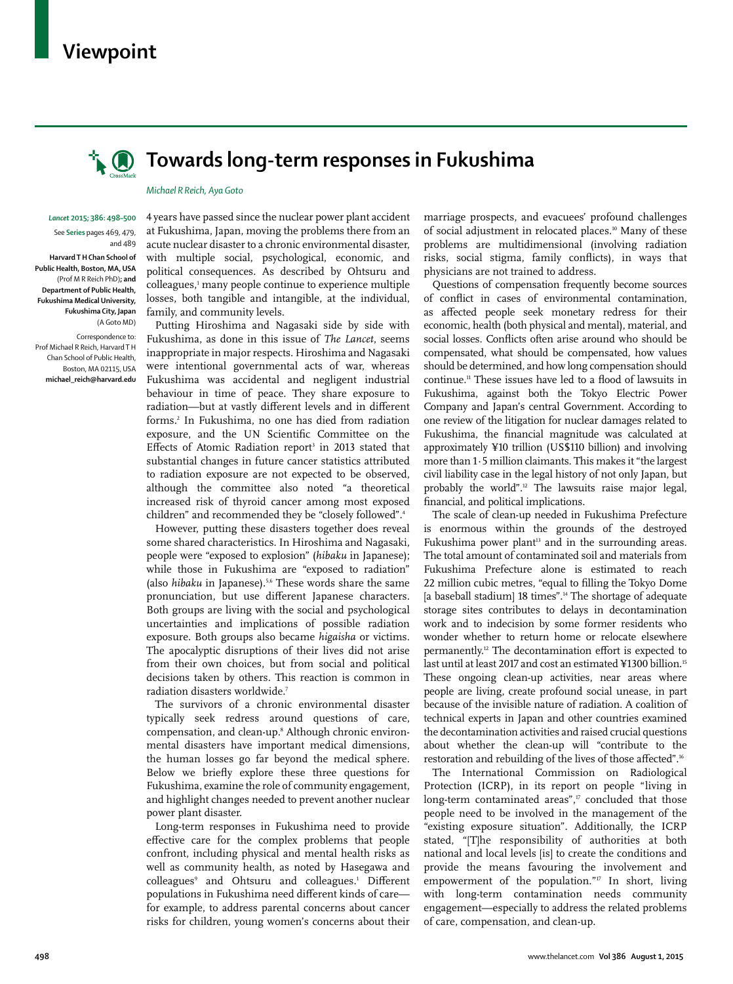## **Viewpoint**



# **Towards long-term responses in Fukushima**

*Michael R Reich, Aya Goto*

## *Lancet* **2015; 386: 498–500**

See **Series** pages 469, 479, and 489

**Harvard T H Chan School of Public Health, Boston, MA, USA** (Prof M R Reich PhD)**; and Department of Public Health, Fukushima Medical University, Fukushima City, Japan** (A Goto MD)

Correspondence to: Prof Michael R Reich, Harvard T H Chan School of Public Health, Boston, MA 02115, USA **michael\_reich@harvard.edu** 4 years have passed since the nuclear power plant accident at Fukushima, Japan, moving the problems there from an acute nuclear disaster to a chronic environmental disaster, with multiple social, psychological, economic, and political consequences. As described by Ohtsuru and colleagues,1 many people continue to experience multiple losses, both tangible and intangible, at the individual, family, and community levels.

Putting Hiroshima and Nagasaki side by side with Fukushima, as done in this issue of *The Lancet*, seems inappropriate in major respects. Hiroshima and Nagasaki were intentional governmental acts of war, whereas Fukushima was accidental and negligent industrial behaviour in time of peace. They share exposure to radiation—but at vastly different levels and in different forms.2 In Fukushima, no one has died from radiation exposure, and the UN Scientific Committee on the Effects of Atomic Radiation report<sup>3</sup> in 2013 stated that substantial changes in future cancer statistics attributed to radiation exposure are not expected to be observed, although the committee also noted "a theoretical increased risk of thyroid cancer among most exposed children" and recommended they be "closely followed".4

However, putting these disasters together does reveal some shared characteristics. In Hiroshima and Nagasaki, people were "exposed to explosion" (*hibaku* in Japanese); while those in Fukushima are "exposed to radiation" (also *hibaku* in Japanese).5,6 These words share the same pronunciation, but use different Japanese characters. Both groups are living with the social and psychological uncertainties and implications of possible radiation exposure. Both groups also became *higaisha* or victims. The apocalyptic disruptions of their lives did not arise from their own choices, but from social and political decisions taken by others. This reaction is common in radiation disasters worldwide.7

The survivors of a chronic environmental disaster typically seek redress around questions of care, compensation, and clean-up.8 Although chronic environmental disasters have important medical dimensions, the human losses go far beyond the medical sphere. Below we briefly explore these three questions for Fukushima, examine the role of community engagement, and highlight changes needed to prevent another nuclear power plant disaster.

Long-term responses in Fukushima need to provide effective care for the complex problems that people confront, including physical and mental health risks as well as community health, as noted by Hasegawa and colleagues<sup>9</sup> and Ohtsuru and colleagues.<sup>1</sup> Different populations in Fukushima need different kinds of care for example, to address parental concerns about cancer risks for children, young women's concerns about their

marriage prospects, and evacuees' profound challenges of social adjustment in relocated places.<sup>10</sup> Many of these problems are multidimensional (involving radiation risks, social stigma, family conflicts), in ways that physicians are not trained to address.

Questions of compensation frequently become sources of conflict in cases of environmental contamination, as affected people seek monetary redress for their economic, health (both physical and mental), material, and social losses. Conflicts often arise around who should be compensated, what should be compensated, how values should be determined, and how long compensation should continue.<sup>11</sup> These issues have led to a flood of lawsuits in Fukushima, against both the Tokyo Electric Power Company and Japan's central Government. According to one review of the litigation for nuclear damages related to Fukushima, the financial magnitude was calculated at approximately ¥10 trillion (US\$110 billion) and involving more than 1·5 million claimants. This makes it "the largest civil liability case in the legal history of not only Japan, but probably the world".12 The lawsuits raise major legal, financial, and political implications.

The scale of clean-up needed in Fukushima Prefecture is enormous within the grounds of the destroyed Fukushima power plant<sup>13</sup> and in the surrounding areas. The total amount of contaminated soil and materials from Fukushima Prefecture alone is estimated to reach 22 million cubic metres, "equal to filling the Tokyo Dome [a baseball stadium] 18 times".<sup>14</sup> The shortage of adequate storage sites contributes to delays in decontamination work and to indecision by some former residents who wonder whether to return home or relocate elsewhere permanently.<sup>12</sup> The decontamination effort is expected to last until at least 2017 and cost an estimated ¥1300 billion.<sup>15</sup> These ongoing clean-up activities, near areas where people are living, create profound social unease, in part because of the invisible nature of radiation. A coalition of technical experts in Japan and other countries examined the decontamination activities and raised crucial questions about whether the clean-up will "contribute to the restoration and rebuilding of the lives of those affected".<sup>16</sup>

The International Commission on Radiological Protection (ICRP), in its report on people "living in long-term contaminated areas",<sup>17</sup> concluded that those people need to be involved in the management of the "existing exposure situation". Additionally, the ICRP stated, "[T]he responsibility of authorities at both national and local levels [is] to create the conditions and provide the means favouring the involvement and empowerment of the population."<sup>17</sup> In short, living with long-term contamination needs community engagement—especially to address the related problems of care, compensation, and clean-up.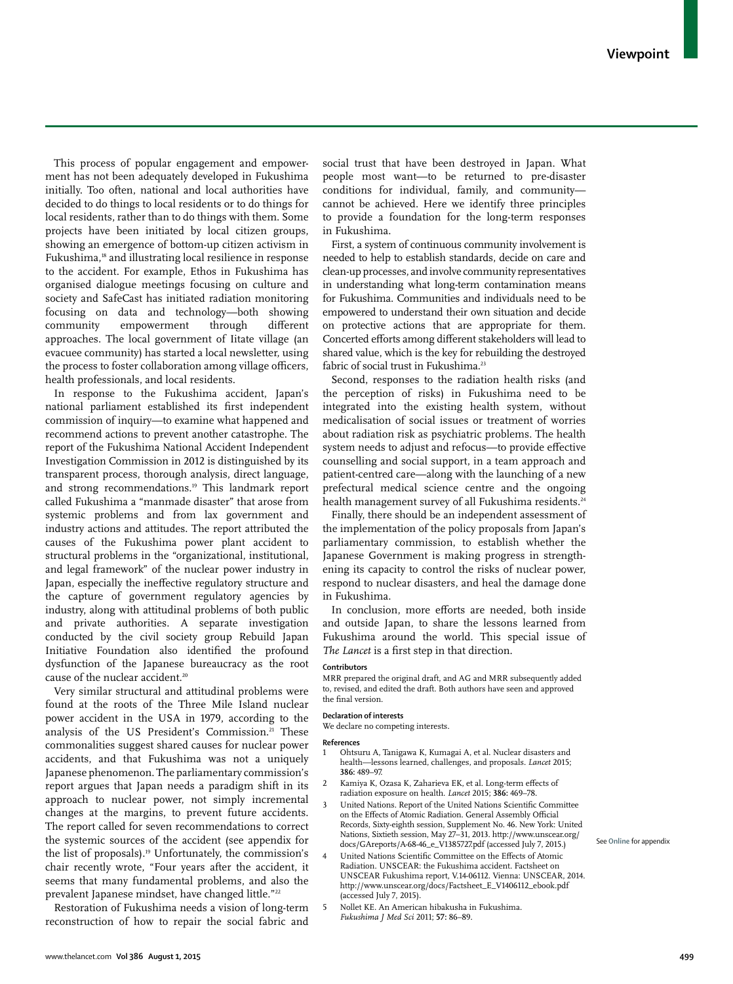This process of popular engagement and empowerment has not been adequately developed in Fukushima initially. Too often, national and local authorities have decided to do things to local residents or to do things for local residents, rather than to do things with them. Some projects have been initiated by local citizen groups, showing an emergence of bottom-up citizen activism in Fukushima,<sup>18</sup> and illustrating local resilience in response to the accident. For example, Ethos in Fukushima has organised dialogue meetings focusing on culture and society and SafeCast has initiated radiation monitoring focusing on data and technology—both showing community empowerment through different approaches. The local government of Iitate village (an evacuee community) has started a local newsletter, using the process to foster collaboration among village officers, health professionals, and local residents.

In response to the Fukushima accident, Japan's national parliament established its first independent commission of inquiry—to examine what happened and recommend actions to prevent another catastrophe. The report of the Fukushima National Accident Independent Investigation Commission in 2012 is distinguished by its transparent process, thorough analysis, direct language, and strong recommendations.19 This landmark report called Fukushima a "manmade disaster" that arose from systemic problems and from lax government and industry actions and attitudes. The report attributed the causes of the Fukushima power plant accident to structural problems in the "organizational, institutional, and legal framework" of the nuclear power industry in Japan, especially the ineffective regulatory structure and the capture of government regulatory agencies by industry, along with attitudinal problems of both public and private authorities. A separate investigation conducted by the civil society group Rebuild Japan Initiative Foundation also identified the profound dysfunction of the Japanese bureaucracy as the root cause of the nuclear accident.<sup>20</sup>

Very similar structural and attitudinal problems were found at the roots of the Three Mile Island nuclear power accident in the USA in 1979, according to the analysis of the US President's Commission.<sup>21</sup> These commonalities suggest shared causes for nuclear power accidents, and that Fukushima was not a uniquely Japanese phenomenon. The parliamentary commission's report argues that Japan needs a paradigm shift in its approach to nuclear power, not simply incremental changes at the margins, to prevent future accidents. The report called for seven recommendations to correct the systemic sources of the accident (see appendix for the list of proposals).<sup>19</sup> Unfortunately, the commission's chair recently wrote, "Four years after the accident, it seems that many fundamental problems, and also the prevalent Japanese mindset, have changed little."<sup>22</sup>

Restoration of Fukushima needs a vision of long-term reconstruction of how to repair the social fabric and social trust that have been destroyed in Japan. What people most want—to be returned to pre-disaster conditions for individual, family, and community cannot be achieved. Here we identify three principles to provide a foundation for the long-term responses in Fukushima.

First, a system of continuous community involvement is needed to help to establish standards, decide on care and clean-up processes, and involve community representatives in understanding what long-term contamination means for Fukushima. Communities and individuals need to be empowered to understand their own situation and decide on protective actions that are appropriate for them. Concerted efforts among different stakeholders will lead to shared value, which is the key for rebuilding the destroyed fabric of social trust in Fukushima.<sup>23</sup>

Second, responses to the radiation health risks (and the perception of risks) in Fukushima need to be integrated into the existing health system, without medicalisation of social issues or treatment of worries about radiation risk as psychiatric problems. The health system needs to adjust and refocus-to provide effective counselling and social support, in a team approach and patient-centred care—along with the launching of a new prefectural medical science centre and the ongoing health management survey of all Fukushima residents.<sup>24</sup>

Finally, there should be an independent assessment of the implementation of the policy proposals from Japan's parliamentary commission, to establish whether the Japanese Government is making progress in strengthening its capacity to control the risks of nuclear power, respond to nuclear disasters, and heal the damage done in Fukushima.

In conclusion, more efforts are needed, both inside and outside Japan, to share the lessons learned from Fukushima around the world. This special issue of The Lancet is a first step in that direction.

## **Contributors**

MRR prepared the original draft, and AG and MRR subsequently added to, revised, and edited the draft. Both authors have seen and approved the final version.

### **Declaration of interests**

We declare no competing interests.

#### **References**

- 1 Ohtsuru A, Tanigawa K, Kumagai A, et al. Nuclear disasters and health—lessons learned, challenges, and proposals. *Lancet* 2015; **386:** 489–97.
- Kamiya K, Ozasa K, Zaharieva EK, et al. Long-term effects of radiation exposure on health. *Lancet* 2015; **386:** 469–78.
- United Nations. Report of the United Nations Scientific Committee on the Effects of Atomic Radiation. General Assembly Official Records, Sixty-eighth session, Supplement No. 46. New York: United Nations, Sixtieth session, May 27–31, 2013. http://www.unscear.org/ docs/GAreports/A-68-46\_e\_V1385727.pdf (accessed July 7, 2015.)
- United Nations Scientific Committee on the Effects of Atomic Radiation. UNSCEAR: the Fukushima accident. Factsheet on UNSCEAR Fukushima report, V.14-06112. Vienna: UNSCEAR, 2014. http://www.unscear.org/docs/Factsheet\_E\_V1406112\_ebook.pdf (accessed July 7, 2015).
- 5 Nollet KE. An American hibakusha in Fukushima. *Fukushima J Med Sci* 2011; **57:** 86–89.

See **Online** for appendix